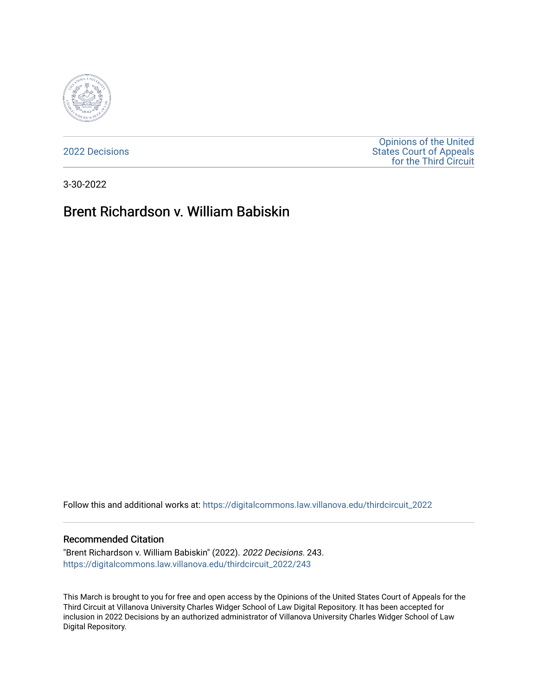

[2022 Decisions](https://digitalcommons.law.villanova.edu/thirdcircuit_2022)

[Opinions of the United](https://digitalcommons.law.villanova.edu/thirdcircuit)  [States Court of Appeals](https://digitalcommons.law.villanova.edu/thirdcircuit)  [for the Third Circuit](https://digitalcommons.law.villanova.edu/thirdcircuit) 

3-30-2022

# Brent Richardson v. William Babiskin

Follow this and additional works at: [https://digitalcommons.law.villanova.edu/thirdcircuit\\_2022](https://digitalcommons.law.villanova.edu/thirdcircuit_2022?utm_source=digitalcommons.law.villanova.edu%2Fthirdcircuit_2022%2F243&utm_medium=PDF&utm_campaign=PDFCoverPages) 

#### Recommended Citation

"Brent Richardson v. William Babiskin" (2022). 2022 Decisions. 243. [https://digitalcommons.law.villanova.edu/thirdcircuit\\_2022/243](https://digitalcommons.law.villanova.edu/thirdcircuit_2022/243?utm_source=digitalcommons.law.villanova.edu%2Fthirdcircuit_2022%2F243&utm_medium=PDF&utm_campaign=PDFCoverPages)

This March is brought to you for free and open access by the Opinions of the United States Court of Appeals for the Third Circuit at Villanova University Charles Widger School of Law Digital Repository. It has been accepted for inclusion in 2022 Decisions by an authorized administrator of Villanova University Charles Widger School of Law Digital Repository.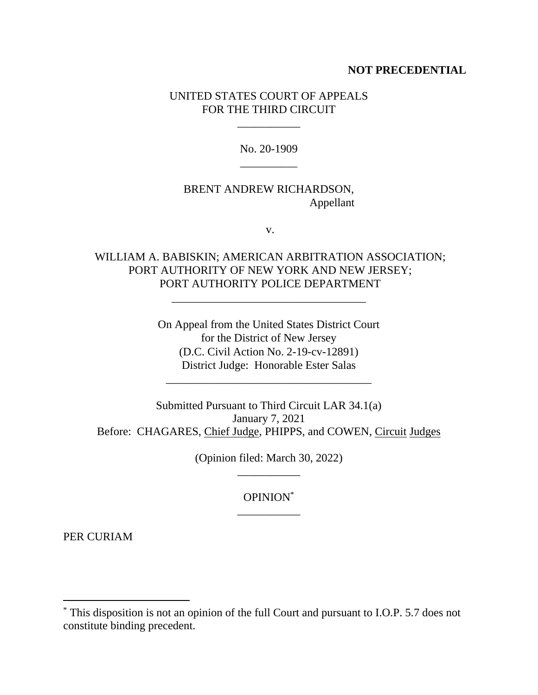#### **NOT PRECEDENTIAL**

### UNITED STATES COURT OF APPEALS FOR THE THIRD CIRCUIT

\_\_\_\_\_\_\_\_\_\_\_

No. 20-1909 \_\_\_\_\_\_\_\_\_\_

## BRENT ANDREW RICHARDSON, Appellant

v.

## WILLIAM A. BABISKIN; AMERICAN ARBITRATION ASSOCIATION; PORT AUTHORITY OF NEW YORK AND NEW JERSEY; PORT AUTHORITY POLICE DEPARTMENT

\_\_\_\_\_\_\_\_\_\_\_\_\_\_\_\_\_\_\_\_\_\_\_\_\_\_\_\_\_\_\_\_\_\_

On Appeal from the United States District Court for the District of New Jersey (D.C. Civil Action No. 2-19-cv-12891) District Judge: Honorable Ester Salas

\_\_\_\_\_\_\_\_\_\_\_\_\_\_\_\_\_\_\_\_\_\_\_\_\_\_\_\_\_\_\_\_\_\_\_\_

Submitted Pursuant to Third Circuit LAR 34.1(a) January 7, 2021 Before: CHAGARES, Chief Judge, PHIPPS, and COWEN, Circuit Judges

> (Opinion filed: March 30, 2022) \_\_\_\_\_\_\_\_\_\_\_

> > OPINION\* \_\_\_\_\_\_\_\_\_\_\_

PER CURIAM

<sup>\*</sup> This disposition is not an opinion of the full Court and pursuant to I.O.P. 5.7 does not constitute binding precedent.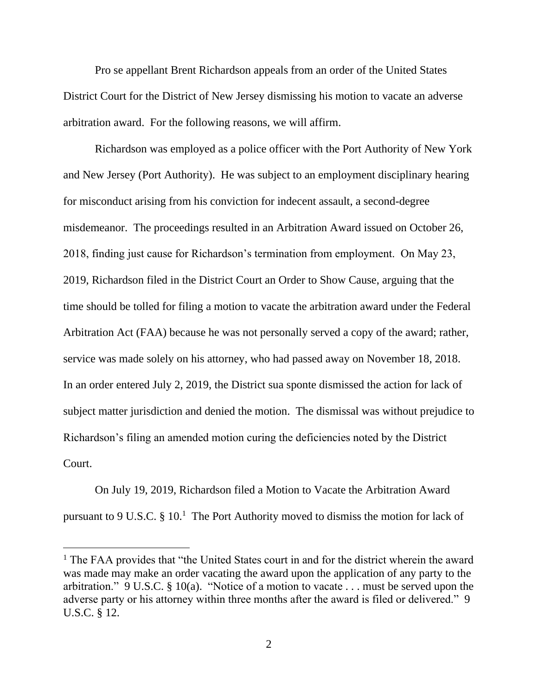Pro se appellant Brent Richardson appeals from an order of the United States District Court for the District of New Jersey dismissing his motion to vacate an adverse arbitration award. For the following reasons, we will affirm.

Richardson was employed as a police officer with the Port Authority of New York and New Jersey (Port Authority). He was subject to an employment disciplinary hearing for misconduct arising from his conviction for indecent assault, a second-degree misdemeanor. The proceedings resulted in an Arbitration Award issued on October 26, 2018, finding just cause for Richardson's termination from employment. On May 23, 2019, Richardson filed in the District Court an Order to Show Cause, arguing that the time should be tolled for filing a motion to vacate the arbitration award under the Federal Arbitration Act (FAA) because he was not personally served a copy of the award; rather, service was made solely on his attorney, who had passed away on November 18, 2018. In an order entered July 2, 2019, the District sua sponte dismissed the action for lack of subject matter jurisdiction and denied the motion. The dismissal was without prejudice to Richardson's filing an amended motion curing the deficiencies noted by the District Court.

On July 19, 2019, Richardson filed a Motion to Vacate the Arbitration Award pursuant to 9 U.S.C.  $\S 10$ .<sup>1</sup> The Port Authority moved to dismiss the motion for lack of

<sup>&</sup>lt;sup>1</sup> The FAA provides that "the United States court in and for the district wherein the award was made may make an order vacating the award upon the application of any party to the arbitration." 9 U.S.C. § 10(a). "Notice of a motion to vacate . . . must be served upon the adverse party or his attorney within three months after the award is filed or delivered." 9 U.S.C. § 12.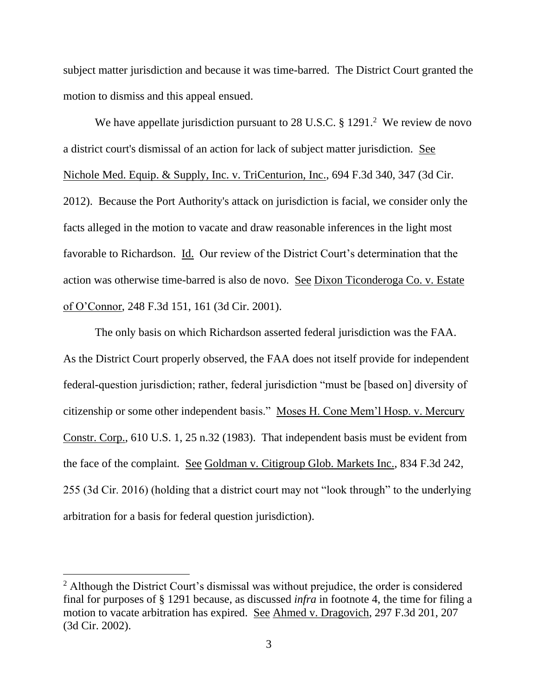subject matter jurisdiction and because it was time-barred. The District Court granted the motion to dismiss and this appeal ensued.

We have appellate jurisdiction pursuant to 28 U.S.C.  $\S 1291$ .<sup>2</sup> We review de novo a district court's dismissal of an action for lack of subject matter jurisdiction. See Nichole Med. Equip. & Supply, Inc. v. TriCenturion, Inc., 694 F.3d 340, 347 (3d Cir. 2012). Because the Port Authority's attack on jurisdiction is facial, we consider only the facts alleged in the motion to vacate and draw reasonable inferences in the light most favorable to Richardson. Id. Our review of the District Court's determination that the action was otherwise time-barred is also de novo. See Dixon Ticonderoga Co. v. Estate of O'Connor, 248 F.3d 151, 161 (3d Cir. 2001).

The only basis on which Richardson asserted federal jurisdiction was the FAA. As the District Court properly observed, the FAA does not itself provide for independent federal-question jurisdiction; rather, federal jurisdiction "must be [based on] diversity of citizenship or some other independent basis." Moses H. Cone Mem'l Hosp. v. Mercury Constr. Corp., 610 U.S. 1, 25 n.32 (1983). That independent basis must be evident from the face of the complaint. See Goldman v. Citigroup Glob. Markets Inc., 834 F.3d 242, 255 (3d Cir. 2016) (holding that a district court may not "look through" to the underlying arbitration for a basis for federal question jurisdiction).

<sup>&</sup>lt;sup>2</sup> Although the District Court's dismissal was without prejudice, the order is considered final for purposes of § 1291 because, as discussed *infra* in footnote 4, the time for filing a motion to vacate arbitration has expired. See Ahmed v. Dragovich, 297 F.3d 201, 207 (3d Cir. 2002).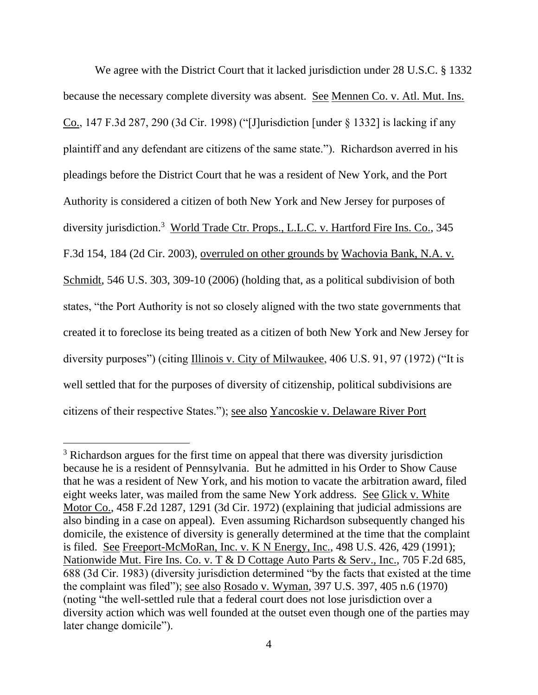We agree with the District Court that it lacked jurisdiction under 28 U.S.C. § 1332 because the necessary complete diversity was absent. See Mennen Co. v. Atl. Mut. Ins. Co., 147 F.3d 287, 290 (3d Cir. 1998) ("[J]urisdiction [under § 1332] is lacking if any plaintiff and any defendant are citizens of the same state."). Richardson averred in his pleadings before the District Court that he was a resident of New York, and the Port Authority is considered a citizen of both New York and New Jersey for purposes of diversity jurisdiction.<sup>3</sup> World Trade Ctr. Props., L.L.C. v. Hartford Fire Ins. Co., 345 F.3d 154, 184 (2d Cir. 2003), overruled on other grounds by Wachovia Bank, N.A. v. Schmidt, 546 U.S. 303, 309-10 (2006) (holding that, as a political subdivision of both states, "the Port Authority is not so closely aligned with the two state governments that created it to foreclose its being treated as a citizen of both New York and New Jersey for diversity purposes") (citing Illinois v. City of Milwaukee, 406 U.S. 91, 97 (1972) ("It is well settled that for the purposes of diversity of citizenship, political subdivisions are citizens of their respective States."); see also Yancoskie v. Delaware River Port

<sup>&</sup>lt;sup>3</sup> Richardson argues for the first time on appeal that there was diversity jurisdiction because he is a resident of Pennsylvania. But he admitted in his Order to Show Cause that he was a resident of New York, and his motion to vacate the arbitration award, filed eight weeks later, was mailed from the same New York address. See Glick v. White Motor Co., 458 F.2d 1287, 1291 (3d Cir. 1972) (explaining that judicial admissions are also binding in a case on appeal). Even assuming Richardson subsequently changed his domicile, the existence of diversity is generally determined at the time that the complaint is filed. See Freeport-McMoRan, Inc. v. K N Energy, Inc., 498 U.S. 426, 429 (1991); Nationwide Mut. Fire Ins. Co. v. T & D Cottage Auto Parts & Serv., Inc., 705 F.2d 685, 688 (3d Cir. 1983) (diversity jurisdiction determined "by the facts that existed at the time the complaint was filed"); see also Rosado v. Wyman, 397 U.S. 397, 405 n.6 (1970) (noting "the well-settled rule that a federal court does not lose jurisdiction over a diversity action which was well founded at the outset even though one of the parties may later change domicile").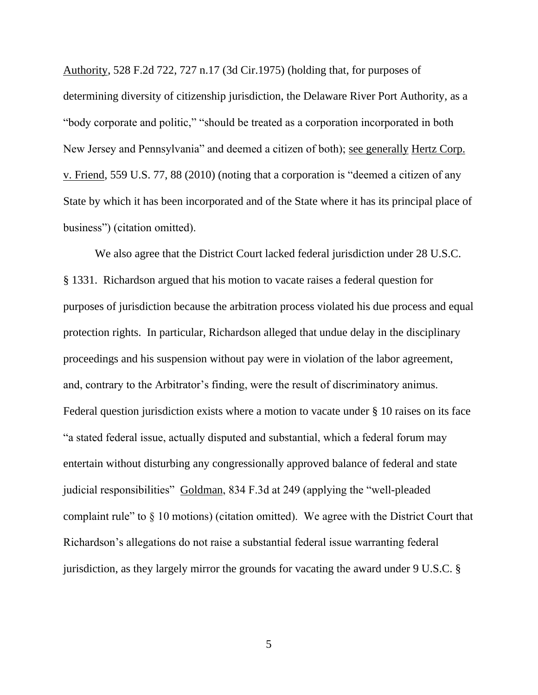Authority, 528 F.2d 722, 727 n.17 (3d Cir.1975) (holding that, for purposes of determining diversity of citizenship jurisdiction, the Delaware River Port Authority, as a "body corporate and politic," "should be treated as a corporation incorporated in both New Jersey and Pennsylvania" and deemed a citizen of both); see generally Hertz Corp. v. Friend, 559 U.S. 77, 88 (2010) (noting that a corporation is "deemed a citizen of any State by which it has been incorporated and of the State where it has its principal place of business") (citation omitted).

We also agree that the District Court lacked federal jurisdiction under 28 U.S.C. § 1331. Richardson argued that his motion to vacate raises a federal question for purposes of jurisdiction because the arbitration process violated his due process and equal protection rights. In particular, Richardson alleged that undue delay in the disciplinary proceedings and his suspension without pay were in violation of the labor agreement, and, contrary to the Arbitrator's finding, were the result of discriminatory animus. Federal question jurisdiction exists where a motion to vacate under § 10 raises on its face "a stated federal issue, actually disputed and substantial, which a federal forum may entertain without disturbing any congressionally approved balance of federal and state judicial responsibilities" Goldman, 834 F.3d at 249 (applying the "well-pleaded complaint rule" to § 10 motions) (citation omitted). We agree with the District Court that Richardson's allegations do not raise a substantial federal issue warranting federal jurisdiction, as they largely mirror the grounds for vacating the award under 9 U.S.C. §

5